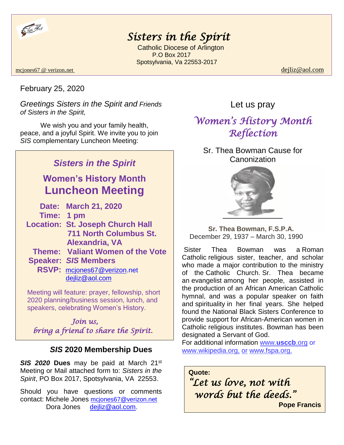

# *Sisters in the Spirit*

 Catholic Diocese of Arlington P.O Box 2017 Spotsylvania, Va 22553-2017

#### mcjones67 @ verizon.net dejliz@aol.com

February 25, 2020

*Greetings Sisters in the Spirit and Friends of Sisters in the Spirit,*

We wish you and your family health, peace, and a joyful Spirit. We invite you to join *SIS* complementary Luncheon Meeting:

## *Sisters in the Spirit*

**Women's History Month Luncheon Meeting**

|            | Date: March 21, 2020                    |
|------------|-----------------------------------------|
| Time: 1 pm |                                         |
|            | <b>Location: St. Joseph Church Hall</b> |
|            | <b>711 North Columbus St.</b>           |
|            | Alexandria, VA                          |
|            | Theme: Valiant Women of the Vote        |
|            | <b>Speaker: SIS Members</b>             |
|            | RSVP: mcjones67@verizon.net             |
|            | dejliz@aol.com                          |

 Meeting will feature: prayer, fellowship, short 2020 planning/business session, lunch, and speakers, celebrating Women's History.

 *Join us, bring a friend to share the Spirit.* 

### *SIS* **2020 Membership Dues**

*SIS 2020* **Dues** may be paid at March 21st Meeting or Mail attached form to: *Sisters in the Spirit*, PO Box 2017, Spotsylvania, VA 22553.

Should you have questions or comments contact: Michele Jones [mcjones67@verizon.net](mailto:mcjones67@verizon.net)  Dora Jones [dejliz@aol.com.](mailto:dejliz@aol.com)

### Let us pray

# *Women's History Month Reflection*

Sr. Thea Bowman Cause for **Canonization** 



 **Sr. Thea Bowman, F.S.P.A.** December 29, 1937 – March 30, 1990

Sister Thea Bowman was a [Roman](https://en.wikipedia.org/wiki/Roman_Catholic)  [Catholic](https://en.wikipedia.org/wiki/Roman_Catholic) [religious sister,](https://en.wikipedia.org/wiki/Religious_sister) teacher, and scholar who made a major contribution to the ministry of the [Catholic Church.](https://en.wikipedia.org/wiki/Catholic_Church) Sr. Thea became an [evangelist](https://en.wikipedia.org/wiki/Evangelism) among her people, assisted in the production of an African American Catholic hymnal, and was a popular speaker on faith and [spirituality](https://en.wikipedia.org/wiki/Spirituality) in her final years. She helped found the National Black Sisters Conference to provide support for African-American women in Catholic [religious institutes.](https://en.wikipedia.org/wiki/Religious_institute_(Catholic)) Bowman has been designated a [Servant of God.](https://en.wikipedia.org/wiki/Servant_of_God#Catholic_Church)

For additional information www.**[usccb](http://www.usccb.org/)**.org or www.wikipedia.org, or www.fspa.org.

**Quote:** *"Let us love, not with words but the deeds."* 

**Pope Francis**